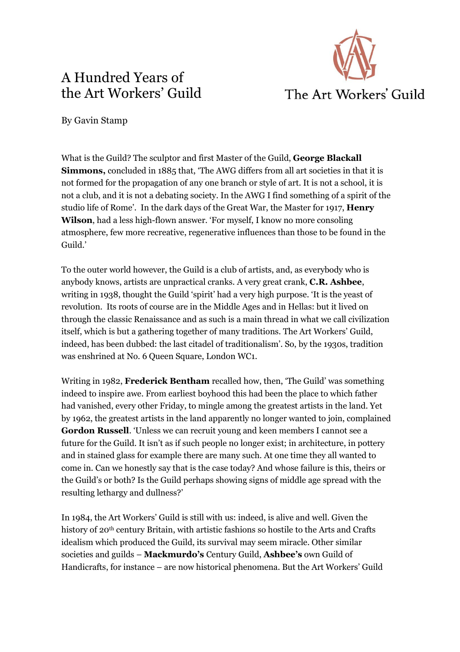## A Hundred Years of the Art Workers' Guild



By Gavin Stamp

What is the Guild? The sculptor and first Master of the Guild, **George Blackall Simmons,** concluded in 1885 that, 'The AWG differs from all art societies in that it is not formed for the propagation of any one branch or style of art. It is not a school, it is not a club, and it is not a debating society. In the AWG I find something of a spirit of the studio life of Rome'. In the dark days of the Great War, the Master for 1917, **Henry Wilson**, had a less high-flown answer. 'For myself, I know no more consoling atmosphere, few more recreative, regenerative influences than those to be found in the Guild.'

To the outer world however, the Guild is a club of artists, and, as everybody who is anybody knows, artists are unpractical cranks. A very great crank, **C.R. Ashbee**, writing in 1938, thought the Guild 'spirit' had a very high purpose. 'It is the yeast of revolution. Its roots of course are in the Middle Ages and in Hellas: but it lived on through the classic Renaissance and as such is a main thread in what we call civilization itself, which is but a gathering together of many traditions. The Art Workers' Guild, indeed, has been dubbed: the last citadel of traditionalism'. So, by the 1930s, tradition was enshrined at No. 6 Queen Square, London WC1.

Writing in 1982, **Frederick Bentham** recalled how, then, 'The Guild' was something indeed to inspire awe. From earliest boyhood this had been the place to which father had vanished, every other Friday, to mingle among the greatest artists in the land. Yet by 1962, the greatest artists in the land apparently no longer wanted to join, complained **Gordon Russell**. 'Unless we can recruit young and keen members I cannot see a future for the Guild. It isn't as if such people no longer exist; in architecture, in pottery and in stained glass for example there are many such. At one time they all wanted to come in. Can we honestly say that is the case today? And whose failure is this, theirs or the Guild's or both? Is the Guild perhaps showing signs of middle age spread with the resulting lethargy and dullness?'

In 1984, the Art Workers' Guild is still with us: indeed, is alive and well. Given the history of 20<sup>th</sup> century Britain, with artistic fashions so hostile to the Arts and Crafts idealism which produced the Guild, its survival may seem miracle. Other similar societies and guilds – **Mackmurdo's** Century Guild, **Ashbee's** own Guild of Handicrafts, for instance – are now historical phenomena. But the Art Workers' Guild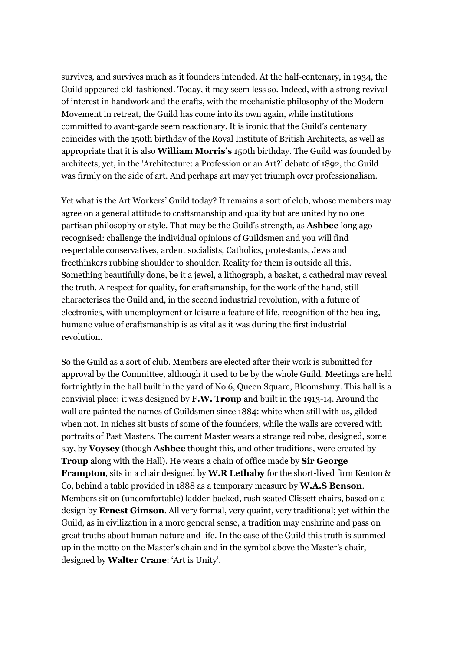survives, and survives much as it founders intended. At the half-centenary, in 1934, the Guild appeared old-fashioned. Today, it may seem less so. Indeed, with a strong revival of interest in handwork and the crafts, with the mechanistic philosophy of the Modern Movement in retreat, the Guild has come into its own again, while institutions committed to avant-garde seem reactionary. It is ironic that the Guild's centenary coincides with the 150th birthday of the Royal Institute of British Architects, as well as appropriate that it is also **William Morris's** 150th birthday. The Guild was founded by architects, yet, in the 'Architecture: a Profession or an Art?' debate of 1892, the Guild was firmly on the side of art. And perhaps art may yet triumph over professionalism.

Yet what is the Art Workers' Guild today? It remains a sort of club, whose members may agree on a general attitude to craftsmanship and quality but are united by no one partisan philosophy or style. That may be the Guild's strength, as **Ashbee** long ago recognised: challenge the individual opinions of Guildsmen and you will find respectable conservatives, ardent socialists, Catholics, protestants, Jews and freethinkers rubbing shoulder to shoulder. Reality for them is outside all this. Something beautifully done, be it a jewel, a lithograph, a basket, a cathedral may reveal the truth. A respect for quality, for craftsmanship, for the work of the hand, still characterises the Guild and, in the second industrial revolution, with a future of electronics, with unemployment or leisure a feature of life, recognition of the healing, humane value of craftsmanship is as vital as it was during the first industrial revolution.

So the Guild as a sort of club. Members are elected after their work is submitted for approval by the Committee, although it used to be by the whole Guild. Meetings are held fortnightly in the hall built in the yard of No 6, Queen Square, Bloomsbury. This hall is a convivial place; it was designed by **F.W. Troup** and built in the 1913-14. Around the wall are painted the names of Guildsmen since 1884: white when still with us, gilded when not. In niches sit busts of some of the founders, while the walls are covered with portraits of Past Masters. The current Master wears a strange red robe, designed, some say, by **Voysey** (though **Ashbee** thought this, and other traditions, were created by **Troup** along with the Hall). He wears a chain of office made by **Sir George Frampton**, sits in a chair designed by **W.R Lethaby** for the short-lived firm Kenton & Co, behind a table provided in 1888 as a temporary measure by **W.A.S Benson**. Members sit on (uncomfortable) ladder-backed, rush seated Clissett chairs, based on a design by **Ernest Gimson**. All very formal, very quaint, very traditional; yet within the Guild, as in civilization in a more general sense, a tradition may enshrine and pass on great truths about human nature and life. In the case of the Guild this truth is summed up in the motto on the Master's chain and in the symbol above the Master's chair, designed by **Walter Crane**: 'Art is Unity'.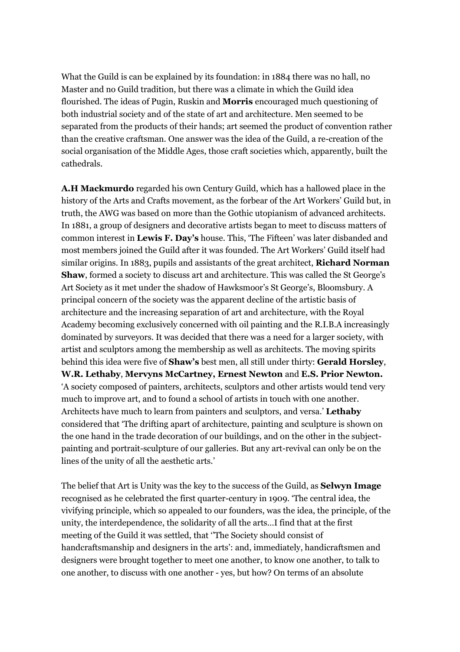What the Guild is can be explained by its foundation: in 1884 there was no hall, no Master and no Guild tradition, but there was a climate in which the Guild idea flourished. The ideas of Pugin, Ruskin and **Morris** encouraged much questioning of both industrial society and of the state of art and architecture. Men seemed to be separated from the products of their hands; art seemed the product of convention rather than the creative craftsman. One answer was the idea of the Guild, a re-creation of the social organisation of the Middle Ages, those craft societies which, apparently, built the cathedrals.

**A.H Mackmurdo** regarded his own Century Guild, which has a hallowed place in the history of the Arts and Crafts movement, as the forbear of the Art Workers' Guild but, in truth, the AWG was based on more than the Gothic utopianism of advanced architects. In 1881, a group of designers and decorative artists began to meet to discuss matters of common interest in **Lewis F. Day's** house. This, 'The Fifteen' was later disbanded and most members joined the Guild after it was founded. The Art Workers' Guild itself had similar origins. In 1883, pupils and assistants of the great architect, **Richard Norman Shaw**, formed a society to discuss art and architecture. This was called the St George's Art Society as it met under the shadow of Hawksmoor's St George's, Bloomsbury. A principal concern of the society was the apparent decline of the artistic basis of architecture and the increasing separation of art and architecture, with the Royal Academy becoming exclusively concerned with oil painting and the R.I.B.A increasingly dominated by surveyors. It was decided that there was a need for a larger society, with artist and sculptors among the membership as well as architects. The moving spirits behind this idea were five of **Shaw's** best men, all still under thirty: **Gerald Horsley**, **W.R. Lethaby**, **Mervyns McCartney, Ernest Newton** and **E.S. Prior Newton.** 'A society composed of painters, architects, sculptors and other artists would tend very much to improve art, and to found a school of artists in touch with one another. Architects have much to learn from painters and sculptors, and versa.' **Lethaby** considered that 'The drifting apart of architecture, painting and sculpture is shown on the one hand in the trade decoration of our buildings, and on the other in the subjectpainting and portrait-sculpture of our galleries. But any art-revival can only be on the lines of the unity of all the aesthetic arts.'

The belief that Art is Unity was the key to the success of the Guild, as **Selwyn Image** recognised as he celebrated the first quarter-century in 1909. 'The central idea, the vivifying principle, which so appealed to our founders, was the idea, the principle, of the unity, the interdependence, the solidarity of all the arts…I find that at the first meeting of the Guild it was settled, that ''The Society should consist of handcraftsmanship and designers in the arts': and, immediately, handicraftsmen and designers were brought together to meet one another, to know one another, to talk to one another, to discuss with one another - yes, but how? On terms of an absolute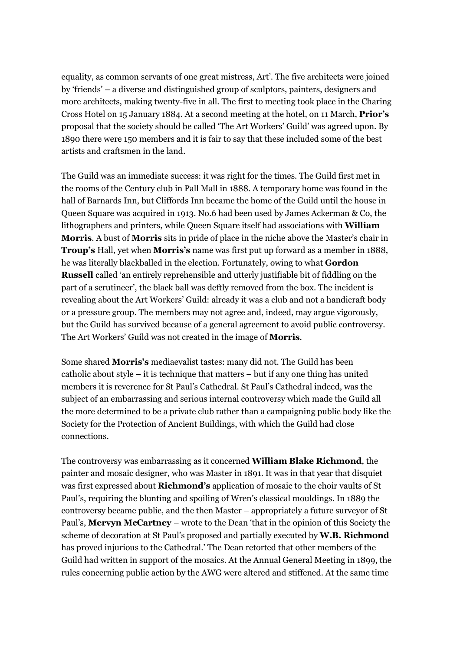equality, as common servants of one great mistress, Art'. The five architects were joined by 'friends' – a diverse and distinguished group of sculptors, painters, designers and more architects, making twenty-five in all. The first to meeting took place in the Charing Cross Hotel on 15 January 1884. At a second meeting at the hotel, on 11 March, **Prior's** proposal that the society should be called 'The Art Workers' Guild' was agreed upon. By 1890 there were 150 members and it is fair to say that these included some of the best artists and craftsmen in the land.

The Guild was an immediate success: it was right for the times. The Guild first met in the rooms of the Century club in Pall Mall in 1888. A temporary home was found in the hall of Barnards Inn, but Cliffords Inn became the home of the Guild until the house in Queen Square was acquired in 1913. No.6 had been used by James Ackerman & Co, the lithographers and printers, while Queen Square itself had associations with **William Morris**. A bust of **Morris** sits in pride of place in the niche above the Master's chair in **Troup's** Hall, yet when **Morris's** name was first put up forward as a member in 1888, he was literally blackballed in the election. Fortunately, owing to what **Gordon Russell** called 'an entirely reprehensible and utterly justifiable bit of fiddling on the part of a scrutineer', the black ball was deftly removed from the box. The incident is revealing about the Art Workers' Guild: already it was a club and not a handicraft body or a pressure group. The members may not agree and, indeed, may argue vigorously, but the Guild has survived because of a general agreement to avoid public controversy. The Art Workers' Guild was not created in the image of **Morris**.

Some shared **Morris's** mediaevalist tastes: many did not. The Guild has been catholic about style – it is technique that matters – but if any one thing has united members it is reverence for St Paul's Cathedral. St Paul's Cathedral indeed, was the subject of an embarrassing and serious internal controversy which made the Guild all the more determined to be a private club rather than a campaigning public body like the Society for the Protection of Ancient Buildings, with which the Guild had close connections.

The controversy was embarrassing as it concerned **William Blake Richmond**, the painter and mosaic designer, who was Master in 1891. It was in that year that disquiet was first expressed about **Richmond's** application of mosaic to the choir vaults of St Paul's, requiring the blunting and spoiling of Wren's classical mouldings. In 1889 the controversy became public, and the then Master – appropriately a future surveyor of St Paul's, **Mervyn McCartney** – wrote to the Dean 'that in the opinion of this Society the scheme of decoration at St Paul's proposed and partially executed by **W.B. Richmond** has proved injurious to the Cathedral.' The Dean retorted that other members of the Guild had written in support of the mosaics. At the Annual General Meeting in 1899, the rules concerning public action by the AWG were altered and stiffened. At the same time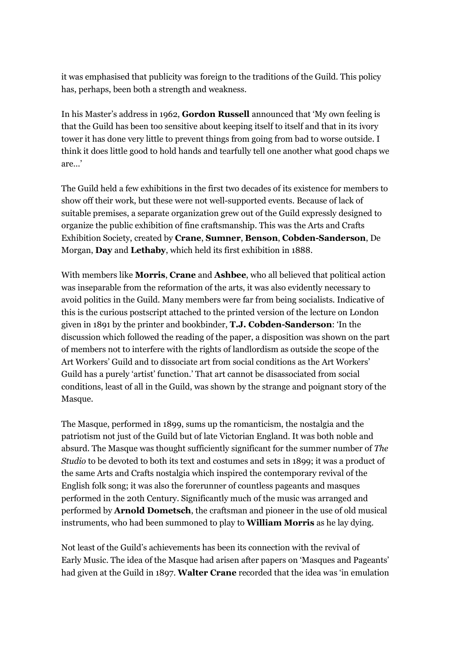it was emphasised that publicity was foreign to the traditions of the Guild. This policy has, perhaps, been both a strength and weakness.

In his Master's address in 1962, **Gordon Russell** announced that 'My own feeling is that the Guild has been too sensitive about keeping itself to itself and that in its ivory tower it has done very little to prevent things from going from bad to worse outside. I think it does little good to hold hands and tearfully tell one another what good chaps we are…'

The Guild held a few exhibitions in the first two decades of its existence for members to show off their work, but these were not well-supported events. Because of lack of suitable premises, a separate organization grew out of the Guild expressly designed to organize the public exhibition of fine craftsmanship. This was the Arts and Crafts Exhibition Society, created by **Crane**, **Sumner**, **Benson**, **Cobden-Sanderson**, De Morgan, **Day** and **Lethaby**, which held its first exhibition in 1888.

With members like **Morris**, **Crane** and **Ashbee**, who all believed that political action was inseparable from the reformation of the arts, it was also evidently necessary to avoid politics in the Guild. Many members were far from being socialists. Indicative of this is the curious postscript attached to the printed version of the lecture on London given in 1891 by the printer and bookbinder, **T.J. Cobden-Sanderson**: 'In the discussion which followed the reading of the paper, a disposition was shown on the part of members not to interfere with the rights of landlordism as outside the scope of the Art Workers' Guild and to dissociate art from social conditions as the Art Workers' Guild has a purely 'artist' function.' That art cannot be disassociated from social conditions, least of all in the Guild, was shown by the strange and poignant story of the Masque.

The Masque, performed in 1899, sums up the romanticism, the nostalgia and the patriotism not just of the Guild but of late Victorian England. It was both noble and absurd. The Masque was thought sufficiently significant for the summer number of *The Studio* to be devoted to both its text and costumes and sets in 1899; it was a product of the same Arts and Crafts nostalgia which inspired the contemporary revival of the English folk song; it was also the forerunner of countless pageants and masques performed in the 20th Century. Significantly much of the music was arranged and performed by **Arnold Dometsch**, the craftsman and pioneer in the use of old musical instruments, who had been summoned to play to **William Morris** as he lay dying.

Not least of the Guild's achievements has been its connection with the revival of Early Music. The idea of the Masque had arisen after papers on 'Masques and Pageants' had given at the Guild in 1897. **Walter Crane** recorded that the idea was 'in emulation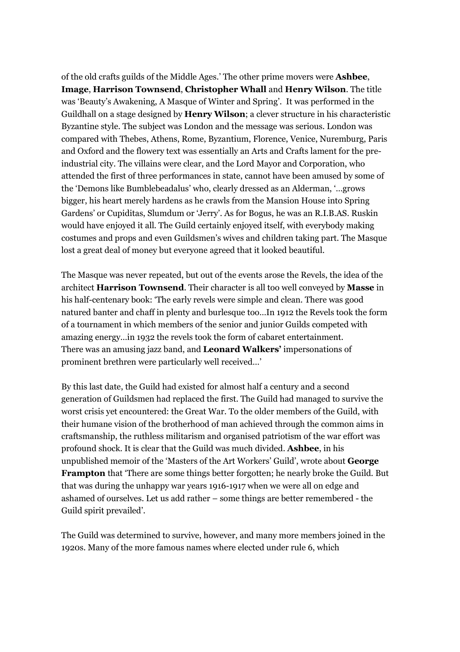of the old crafts guilds of the Middle Ages.' The other prime movers were **Ashbee**, **Image**, **Harrison Townsend**, **Christopher Whall** and **Henry Wilson**. The title was 'Beauty's Awakening, A Masque of Winter and Spring'. It was performed in the Guildhall on a stage designed by **Henry Wilson**; a clever structure in his characteristic Byzantine style. The subject was London and the message was serious. London was compared with Thebes, Athens, Rome, Byzantium, Florence, Venice, Nuremburg, Paris and Oxford and the flowery text was essentially an Arts and Crafts lament for the preindustrial city. The villains were clear, and the Lord Mayor and Corporation, who attended the first of three performances in state, cannot have been amused by some of the 'Demons like Bumblebeadalus' who, clearly dressed as an Alderman, '…grows bigger, his heart merely hardens as he crawls from the Mansion House into Spring Gardens' or Cupiditas, Slumdum or 'Jerry'. As for Bogus, he was an R.I.B.AS. Ruskin would have enjoyed it all. The Guild certainly enjoyed itself, with everybody making costumes and props and even Guildsmen's wives and children taking part. The Masque lost a great deal of money but everyone agreed that it looked beautiful.

The Masque was never repeated, but out of the events arose the Revels, the idea of the architect **Harrison Townsend**. Their character is all too well conveyed by **Masse** in his half-centenary book: 'The early revels were simple and clean. There was good natured banter and chaff in plenty and burlesque too…In 1912 the Revels took the form of a tournament in which members of the senior and junior Guilds competed with amazing energy…in 1932 the revels took the form of cabaret entertainment. There was an amusing jazz band, and **Leonard Walkers'** impersonations of prominent brethren were particularly well received…'

By this last date, the Guild had existed for almost half a century and a second generation of Guildsmen had replaced the first. The Guild had managed to survive the worst crisis yet encountered: the Great War. To the older members of the Guild, with their humane vision of the brotherhood of man achieved through the common aims in craftsmanship, the ruthless militarism and organised patriotism of the war effort was profound shock. It is clear that the Guild was much divided. **Ashbee**, in his unpublished memoir of the 'Masters of the Art Workers' Guild', wrote about **George Frampton** that 'There are some things better forgotten; he nearly broke the Guild. But that was during the unhappy war years 1916-1917 when we were all on edge and ashamed of ourselves. Let us add rather – some things are better remembered - the Guild spirit prevailed'.

The Guild was determined to survive, however, and many more members joined in the 1920s. Many of the more famous names where elected under rule 6, which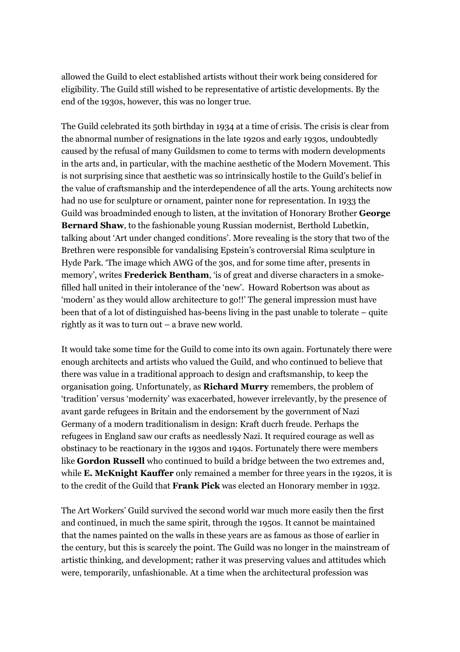allowed the Guild to elect established artists without their work being considered for eligibility. The Guild still wished to be representative of artistic developments. By the end of the 1930s, however, this was no longer true.

The Guild celebrated its 50th birthday in 1934 at a time of crisis. The crisis is clear from the abnormal number of resignations in the late 1920s and early 1930s, undoubtedly caused by the refusal of many Guildsmen to come to terms with modern developments in the arts and, in particular, with the machine aesthetic of the Modern Movement. This is not surprising since that aesthetic was so intrinsically hostile to the Guild's belief in the value of craftsmanship and the interdependence of all the arts. Young architects now had no use for sculpture or ornament, painter none for representation. In 1933 the Guild was broadminded enough to listen, at the invitation of Honorary Brother **George Bernard Shaw**, to the fashionable young Russian modernist, Berthold Lubetkin, talking about 'Art under changed conditions'. More revealing is the story that two of the Brethren were responsible for vandalising Epstein's controversial Rima sculpture in Hyde Park. 'The image which AWG of the 30s, and for some time after, presents in memory', writes **Frederick Bentham**, 'is of great and diverse characters in a smokefilled hall united in their intolerance of the 'new'. Howard Robertson was about as 'modern' as they would allow architecture to go!!' The general impression must have been that of a lot of distinguished has-beens living in the past unable to tolerate – quite rightly as it was to turn out – a brave new world.

It would take some time for the Guild to come into its own again. Fortunately there were enough architects and artists who valued the Guild, and who continued to believe that there was value in a traditional approach to design and craftsmanship, to keep the organisation going. Unfortunately, as **Richard Murry** remembers, the problem of 'tradition' versus 'modernity' was exacerbated, however irrelevantly, by the presence of avant garde refugees in Britain and the endorsement by the government of Nazi Germany of a modern traditionalism in design: Kraft ducrh freude. Perhaps the refugees in England saw our crafts as needlessly Nazi. It required courage as well as obstinacy to be reactionary in the 1930s and 1940s. Fortunately there were members like **Gordon Russell** who continued to build a bridge between the two extremes and, while **E. McKnight Kauffer** only remained a member for three years in the 1920s, it is to the credit of the Guild that **Frank Pick** was elected an Honorary member in 1932.

The Art Workers' Guild survived the second world war much more easily then the first and continued, in much the same spirit, through the 1950s. It cannot be maintained that the names painted on the walls in these years are as famous as those of earlier in the century, but this is scarcely the point. The Guild was no longer in the mainstream of artistic thinking, and development; rather it was preserving values and attitudes which were, temporarily, unfashionable. At a time when the architectural profession was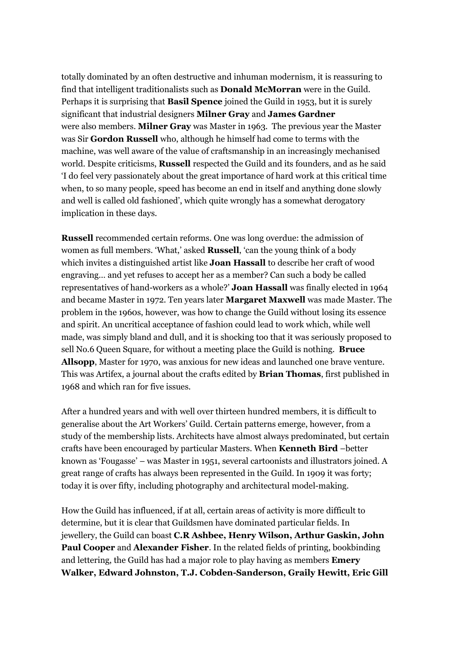totally dominated by an often destructive and inhuman modernism, it is reassuring to find that intelligent traditionalists such as **Donald McMorran** were in the Guild. Perhaps it is surprising that **Basil Spence** joined the Guild in 1953, but it is surely significant that industrial designers **Milner Gray** and **James Gardner** were also members. **Milner Gray** was Master in 1963. The previous year the Master was Sir **Gordon Russell** who, although he himself had come to terms with the machine, was well aware of the value of craftsmanship in an increasingly mechanised world. Despite criticisms, **Russell** respected the Guild and its founders, and as he said 'I do feel very passionately about the great importance of hard work at this critical time when, to so many people, speed has become an end in itself and anything done slowly and well is called old fashioned', which quite wrongly has a somewhat derogatory implication in these days.

**Russell** recommended certain reforms. One was long overdue: the admission of women as full members. 'What,' asked **Russell**, 'can the young think of a body which invites a distinguished artist like **Joan Hassall** to describe her craft of wood engraving… and yet refuses to accept her as a member? Can such a body be called representatives of hand-workers as a whole?' **Joan Hassall** was finally elected in 1964 and became Master in 1972. Ten years later **Margaret Maxwell** was made Master. The problem in the 1960s, however, was how to change the Guild without losing its essence and spirit. An uncritical acceptance of fashion could lead to work which, while well made, was simply bland and dull, and it is shocking too that it was seriously proposed to sell No.6 Queen Square, for without a meeting place the Guild is nothing. **Bruce Allsopp**, Master for 1970, was anxious for new ideas and launched one brave venture. This was Artifex, a journal about the crafts edited by **Brian Thomas**, first published in 1968 and which ran for five issues.

After a hundred years and with well over thirteen hundred members, it is difficult to generalise about the Art Workers' Guild. Certain patterns emerge, however, from a study of the membership lists. Architects have almost always predominated, but certain crafts have been encouraged by particular Masters. When **Kenneth Bird** –better known as 'Fougasse' – was Master in 1951, several cartoonists and illustrators joined. A great range of crafts has always been represented in the Guild. In 1909 it was forty; today it is over fifty, including photography and architectural model-making.

How the Guild has influenced, if at all, certain areas of activity is more difficult to determine, but it is clear that Guildsmen have dominated particular fields. In jewellery, the Guild can boast **C.R Ashbee, Henry Wilson, Arthur Gaskin, John Paul Cooper** and **Alexander Fisher**. In the related fields of printing, bookbinding and lettering, the Guild has had a major role to play having as members **Emery Walker, Edward Johnston, T.J. Cobden-Sanderson, Graily Hewitt, Eric Gill**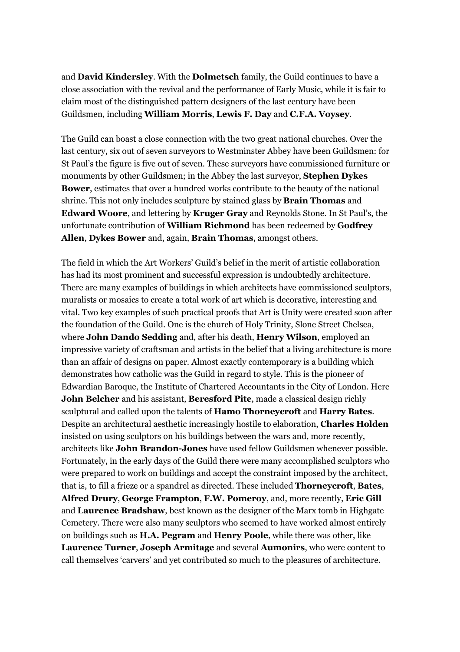and **David Kindersley**. With the **Dolmetsch** family, the Guild continues to have a close association with the revival and the performance of Early Music, while it is fair to claim most of the distinguished pattern designers of the last century have been Guildsmen, including **William Morris**, **Lewis F. Day** and **C.F.A. Voysey**.

The Guild can boast a close connection with the two great national churches. Over the last century, six out of seven surveyors to Westminster Abbey have been Guildsmen: for St Paul's the figure is five out of seven. These surveyors have commissioned furniture or monuments by other Guildsmen; in the Abbey the last surveyor, **Stephen Dykes Bower**, estimates that over a hundred works contribute to the beauty of the national shrine. This not only includes sculpture by stained glass by **Brain Thomas** and **Edward Woore**, and lettering by **Kruger Gray** and Reynolds Stone. In St Paul's, the unfortunate contribution of **William Richmond** has been redeemed by **Godfrey Allen**, **Dykes Bower** and, again, **Brain Thomas**, amongst others.

The field in which the Art Workers' Guild's belief in the merit of artistic collaboration has had its most prominent and successful expression is undoubtedly architecture. There are many examples of buildings in which architects have commissioned sculptors, muralists or mosaics to create a total work of art which is decorative, interesting and vital. Two key examples of such practical proofs that Art is Unity were created soon after the foundation of the Guild. One is the church of Holy Trinity, Slone Street Chelsea, where **John Dando Sedding** and, after his death, **Henry Wilson**, employed an impressive variety of craftsman and artists in the belief that a living architecture is more than an affair of designs on paper. Almost exactly contemporary is a building which demonstrates how catholic was the Guild in regard to style. This is the pioneer of Edwardian Baroque, the Institute of Chartered Accountants in the City of London. Here **John Belcher** and his assistant, **Beresford Pite**, made a classical design richly sculptural and called upon the talents of **Hamo Thorneycroft** and **Harry Bates**. Despite an architectural aesthetic increasingly hostile to elaboration, **Charles Holden** insisted on using sculptors on his buildings between the wars and, more recently, architects like **John Brandon-Jones** have used fellow Guildsmen whenever possible. Fortunately, in the early days of the Guild there were many accomplished sculptors who were prepared to work on buildings and accept the constraint imposed by the architect, that is, to fill a frieze or a spandrel as directed. These included **Thorneycroft**, **Bates**, **Alfred Drury**, **George Frampton**, **F.W. Pomeroy**, and, more recently, **Eric Gill** and **Laurence Bradshaw**, best known as the designer of the Marx tomb in Highgate Cemetery. There were also many sculptors who seemed to have worked almost entirely on buildings such as **H.A. Pegram** and **Henry Poole**, while there was other, like **Laurence Turner**, **Joseph Armitage** and several **Aumonirs**, who were content to call themselves 'carvers' and yet contributed so much to the pleasures of architecture.